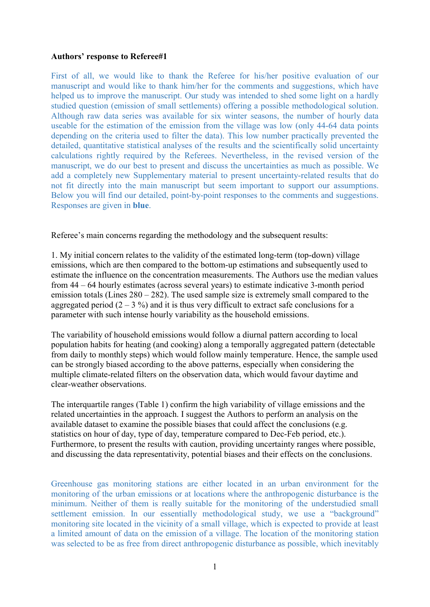## Authors' response to Referee#1

First of all, we would like to thank the Referee for his/her positive evaluation of our manuscript and would like to thank him/her for the comments and suggestions, which have helped us to improve the manuscript. Our study was intended to shed some light on a hardly studied question (emission of small settlements) offering a possible methodological solution. Although raw data series was available for six winter seasons, the number of hourly data useable for the estimation of the emission from the village was low (only 44-64 data points depending on the criteria used to filter the data). This low number practically prevented the detailed, quantitative statistical analyses of the results and the scientifically solid uncertainty calculations rightly required by the Referees. Nevertheless, in the revised version of the manuscript, we do our best to present and discuss the uncertainties as much as possible. We add a completely new Supplementary material to present uncertainty-related results that do not fit directly into the main manuscript but seem important to support our assumptions. Below you will find our detailed, point-by-point responses to the comments and suggestions. Responses are given in blue.

Referee's main concerns regarding the methodology and the subsequent results:

1. My initial concern relates to the validity of the estimated long-term (top-down) village emissions, which are then compared to the bottom-up estimations and subsequently used to estimate the influence on the concentration measurements. The Authors use the median values from 44 – 64 hourly estimates (across several years) to estimate indicative 3-month period emission totals (Lines 280 – 282). The used sample size is extremely small compared to the aggregated period  $(2 - 3 \%)$  and it is thus very difficult to extract safe conclusions for a parameter with such intense hourly variability as the household emissions.

The variability of household emissions would follow a diurnal pattern according to local population habits for heating (and cooking) along a temporally aggregated pattern (detectable from daily to monthly steps) which would follow mainly temperature. Hence, the sample used can be strongly biased according to the above patterns, especially when considering the multiple climate-related filters on the observation data, which would favour daytime and clear-weather observations.

The interquartile ranges (Table 1) confirm the high variability of village emissions and the related uncertainties in the approach. I suggest the Authors to perform an analysis on the available dataset to examine the possible biases that could affect the conclusions (e.g. statistics on hour of day, type of day, temperature compared to Dec-Feb period, etc.). Furthermore, to present the results with caution, providing uncertainty ranges where possible, and discussing the data representativity, potential biases and their effects on the conclusions.

Greenhouse gas monitoring stations are either located in an urban environment for the monitoring of the urban emissions or at locations where the anthropogenic disturbance is the minimum. Neither of them is really suitable for the monitoring of the understudied small settlement emission. In our essentially methodological study, we use a "background" monitoring site located in the vicinity of a small village, which is expected to provide at least a limited amount of data on the emission of a village. The location of the monitoring station was selected to be as free from direct anthropogenic disturbance as possible, which inevitably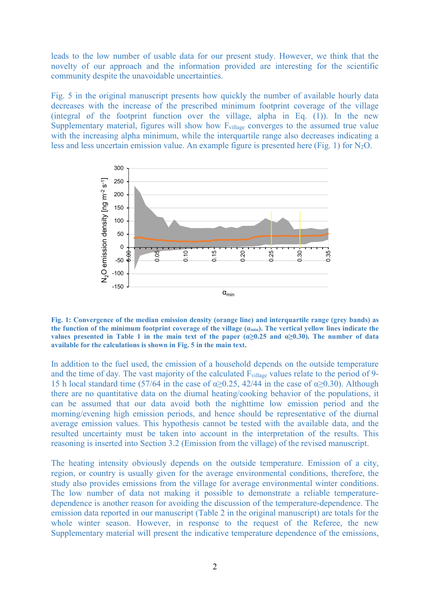leads to the low number of usable data for our present study. However, we think that the novelty of our approach and the information provided are interesting for the scientific community despite the unavoidable uncertainties.

Fig. 5 in the original manuscript presents how quickly the number of available hourly data decreases with the increase of the prescribed minimum footprint coverage of the village (integral of the footprint function over the village, alpha in Eq. (1)). In the new Supplementary material, figures will show how F<sub>village</sub> converges to the assumed true value with the increasing alpha minimum, while the interquartile range also decreases indicating a less and less uncertain emission value. An example figure is presented here (Fig. 1) for  $N_2O$ .



Fig. 1: Convergence of the median emission density (orange line) and interquartile range (grey bands) as the function of the minimum footprint coverage of the village  $(a_{\min})$ . The vertical yellow lines indicate the values presented in Table 1 in the main text of the paper  $(\alpha \ge 0.25$  and  $\alpha \ge 0.30)$ . The number of data available for the calculations is shown in Fig. 5 in the main text.

In addition to the fuel used, the emission of a household depends on the outside temperature and the time of day. The vast majority of the calculated  $F_{\text{village}}$  values relate to the period of 9-15 h local standard time (57/64 in the case of  $\alpha$  >0.25, 42/44 in the case of  $\alpha$  >0.30). Although there are no quantitative data on the diurnal heating/cooking behavior of the populations, it can be assumed that our data avoid both the nighttime low emission period and the morning/evening high emission periods, and hence should be representative of the diurnal average emission values. This hypothesis cannot be tested with the available data, and the resulted uncertainty must be taken into account in the interpretation of the results. This reasoning is inserted into Section 3.2 (Emission from the village) of the revised manuscript.

The heating intensity obviously depends on the outside temperature. Emission of a city, region, or country is usually given for the average environmental conditions, therefore, the study also provides emissions from the village for average environmental winter conditions. The low number of data not making it possible to demonstrate a reliable temperaturedependence is another reason for avoiding the discussion of the temperature-dependence. The emission data reported in our manuscript (Table 2 in the original manuscript) are totals for the whole winter season. However, in response to the request of the Referee, the new Supplementary material will present the indicative temperature dependence of the emissions,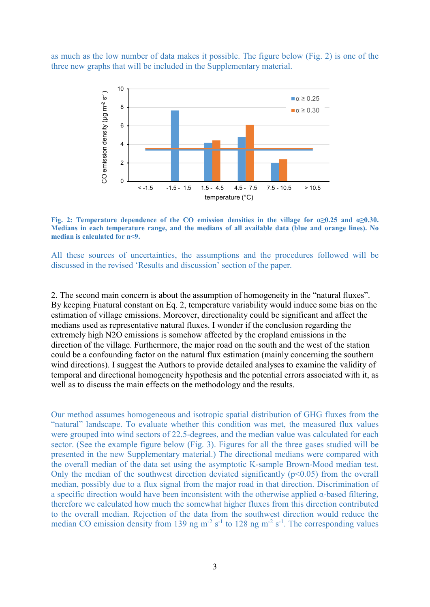as much as the low number of data makes it possible. The figure below (Fig. 2) is one of the three new graphs that will be included in the Supplementary material.



Fig. 2: Temperature dependence of the CO emission densities in the village for  $\alpha \ge 0.25$  and  $\alpha \ge 0.30$ . Medians in each temperature range, and the medians of all available data (blue and orange lines). No median is calculated for n<9.

All these sources of uncertainties, the assumptions and the procedures followed will be discussed in the revised 'Results and discussion' section of the paper.

2. The second main concern is about the assumption of homogeneity in the "natural fluxes". By keeping Fnatural constant on Eq. 2, temperature variability would induce some bias on the estimation of village emissions. Moreover, directionality could be significant and affect the medians used as representative natural fluxes. I wonder if the conclusion regarding the extremely high N2O emissions is somehow affected by the cropland emissions in the direction of the village. Furthermore, the major road on the south and the west of the station could be a confounding factor on the natural flux estimation (mainly concerning the southern wind directions). I suggest the Authors to provide detailed analyses to examine the validity of temporal and directional homogeneity hypothesis and the potential errors associated with it, as well as to discuss the main effects on the methodology and the results.

Our method assumes homogeneous and isotropic spatial distribution of GHG fluxes from the "natural" landscape. To evaluate whether this condition was met, the measured flux values were grouped into wind sectors of 22.5-degrees, and the median value was calculated for each sector. (See the example figure below (Fig. 3). Figures for all the three gases studied will be presented in the new Supplementary material.) The directional medians were compared with the overall median of the data set using the asymptotic K-sample Brown-Mood median test. Only the median of the southwest direction deviated significantly  $(p<0.05)$  from the overall median, possibly due to a flux signal from the major road in that direction. Discrimination of a specific direction would have been inconsistent with the otherwise applied α-based filtering, therefore we calculated how much the somewhat higher fluxes from this direction contributed to the overall median. Rejection of the data from the southwest direction would reduce the median CO emission density from 139 ng  $m^{-2} s^{-1}$  to 128 ng  $m^{-2} s^{-1}$ . The corresponding values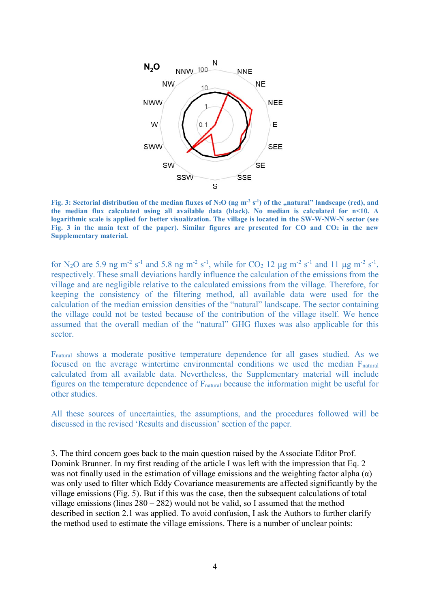

Fig. 3: Sectorial distribution of the median fluxes of  $N_2O$  (ng m<sup>-2</sup> s<sup>-1</sup>) of the "natural" landscape (red), and the median flux calculated using all available data (black). No median is calculated for n<10. A logarithmic scale is applied for better visualization. The village is located in the SW-W-NW-N sector (see Fig. 3 in the main text of the paper). Similar figures are presented for  $CO$  and  $CO<sub>2</sub>$  in the new Supplementary material.

for N<sub>2</sub>O are 5.9 ng m<sup>-2</sup> s<sup>-1</sup> and 5.8 ng m<sup>-2</sup> s<sup>-1</sup>, while for CO<sub>2</sub> 12 µg m<sup>-2</sup> s<sup>-1</sup> and 11 µg m<sup>-2</sup> s<sup>-1</sup>, respectively. These small deviations hardly influence the calculation of the emissions from the village and are negligible relative to the calculated emissions from the village. Therefore, for keeping the consistency of the filtering method, all available data were used for the calculation of the median emission densities of the "natural" landscape. The sector containing the village could not be tested because of the contribution of the village itself. We hence assumed that the overall median of the "natural" GHG fluxes was also applicable for this sector.

Fnatural shows a moderate positive temperature dependence for all gases studied. As we focused on the average wintertime environmental conditions we used the median Fnatural calculated from all available data. Nevertheless, the Supplementary material will include figures on the temperature dependence of  $F<sub>natural</sub>$  because the information might be useful for other studies.

All these sources of uncertainties, the assumptions, and the procedures followed will be discussed in the revised 'Results and discussion' section of the paper.

3. The third concern goes back to the main question raised by the Associate Editor Prof. Domink Brunner. In my first reading of the article I was left with the impression that Eq. 2 was not finally used in the estimation of village emissions and the weighting factor alpha  $(\alpha)$ was only used to filter which Eddy Covariance measurements are affected significantly by the village emissions (Fig. 5). But if this was the case, then the subsequent calculations of total village emissions (lines  $280 - 282$ ) would not be valid, so I assumed that the method described in section 2.1 was applied. To avoid confusion, I ask the Authors to further clarify the method used to estimate the village emissions. There is a number of unclear points: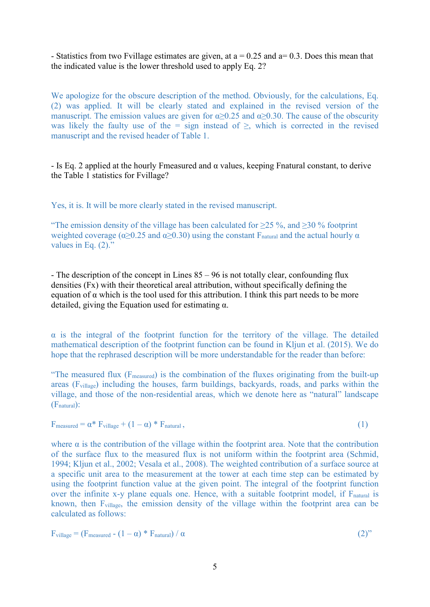- Statistics from two Fvillage estimates are given, at  $a = 0.25$  and  $a = 0.3$ . Does this mean that the indicated value is the lower threshold used to apply Eq. 2?

We apologize for the obscure description of the method. Obviously, for the calculations, Eq. (2) was applied. It will be clearly stated and explained in the revised version of the manuscript. The emission values are given for  $\alpha \ge 0.25$  and  $\alpha \ge 0.30$ . The cause of the obscurity was likely the faulty use of the = sign instead of  $\ge$ , which is corrected in the revised manuscript and the revised header of Table 1.

- Is Eq. 2 applied at the hourly Fmeasured and  $\alpha$  values, keeping Fnatural constant, to derive the Table 1 statistics for Fvillage?

Yes, it is. It will be more clearly stated in the revised manuscript.

"The emission density of the village has been calculated for  $\geq$  25 %, and  $\geq$  30 % footprint weighted coverage ( $\alpha \ge 0.25$  and  $\alpha \ge 0.30$ ) using the constant F<sub>natural</sub> and the actual hourly  $\alpha$ values in Eq.  $(2)$ ."

- The description of the concept in Lines 85 – 96 is not totally clear, confounding flux densities (Fx) with their theoretical areal attribution, without specifically defining the equation of  $\alpha$  which is the tool used for this attribution. I think this part needs to be more detailed, giving the Equation used for estimating  $\alpha$ .

 $\alpha$  is the integral of the footprint function for the territory of the village. The detailed mathematical description of the footprint function can be found in Kljun et al. (2015). We do hope that the rephrased description will be more understandable for the reader than before:

"The measured flux  $(F_{measured})$  is the combination of the fluxes originating from the built-up areas (Fvillage) including the houses, farm buildings, backyards, roads, and parks within the village, and those of the non-residential areas, which we denote here as "natural" landscape (Fnatural):

$$
F_{\text{measured}} = \alpha^* F_{\text{village}} + (1 - \alpha)^* F_{\text{natural}}, \tag{1}
$$

where  $\alpha$  is the contribution of the village within the footprint area. Note that the contribution of the surface flux to the measured flux is not uniform within the footprint area (Schmid, 1994; Kljun et al., 2002; Vesala et al., 2008). The weighted contribution of a surface source at a specific unit area to the measurement at the tower at each time step can be estimated by using the footprint function value at the given point. The integral of the footprint function over the infinite x-y plane equals one. Hence, with a suitable footprint model, if F<sub>natural</sub> is known, then Fvillage, the emission density of the village within the footprint area can be calculated as follows:

$$
F_{\text{village}} = (F_{\text{measured}} - (1 - \alpha) * F_{\text{natural}}) / \alpha \tag{2"}
$$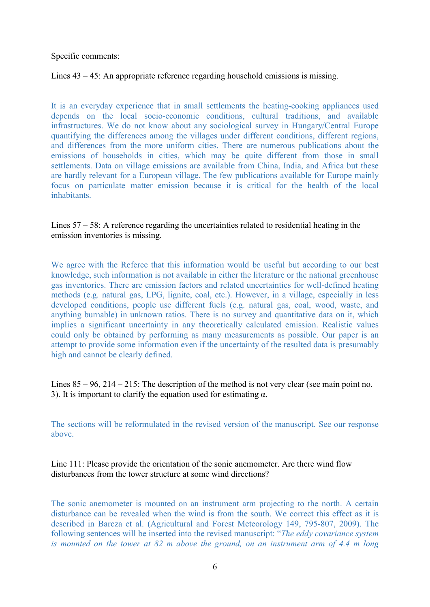Specific comments:

## Lines 43 – 45: An appropriate reference regarding household emissions is missing.

It is an everyday experience that in small settlements the heating-cooking appliances used depends on the local socio-economic conditions, cultural traditions, and available infrastructures. We do not know about any sociological survey in Hungary/Central Europe quantifying the differences among the villages under different conditions, different regions, and differences from the more uniform cities. There are numerous publications about the emissions of households in cities, which may be quite different from those in small settlements. Data on village emissions are available from China, India, and Africa but these are hardly relevant for a European village. The few publications available for Europe mainly focus on particulate matter emission because it is critical for the health of the local inhabitants.

## Lines 57 – 58: A reference regarding the uncertainties related to residential heating in the emission inventories is missing.

We agree with the Referee that this information would be useful but according to our best knowledge, such information is not available in either the literature or the national greenhouse gas inventories. There are emission factors and related uncertainties for well-defined heating methods (e.g. natural gas, LPG, lignite, coal, etc.). However, in a village, especially in less developed conditions, people use different fuels (e.g. natural gas, coal, wood, waste, and anything burnable) in unknown ratios. There is no survey and quantitative data on it, which implies a significant uncertainty in any theoretically calculated emission. Realistic values could only be obtained by performing as many measurements as possible. Our paper is an attempt to provide some information even if the uncertainty of the resulted data is presumably high and cannot be clearly defined.

Lines  $85 - 96$ ,  $214 - 215$ : The description of the method is not very clear (see main point no. 3). It is important to clarify the equation used for estimating  $\alpha$ .

The sections will be reformulated in the revised version of the manuscript. See our response above.

Line 111: Please provide the orientation of the sonic anemometer. Are there wind flow disturbances from the tower structure at some wind directions?

The sonic anemometer is mounted on an instrument arm projecting to the north. A certain disturbance can be revealed when the wind is from the south. We correct this effect as it is described in Barcza et al. (Agricultural and Forest Meteorology 149, 795-807, 2009). The following sentences will be inserted into the revised manuscript: "The eddy covariance system is mounted on the tower at 82 m above the ground, on an instrument arm of 4.4 m long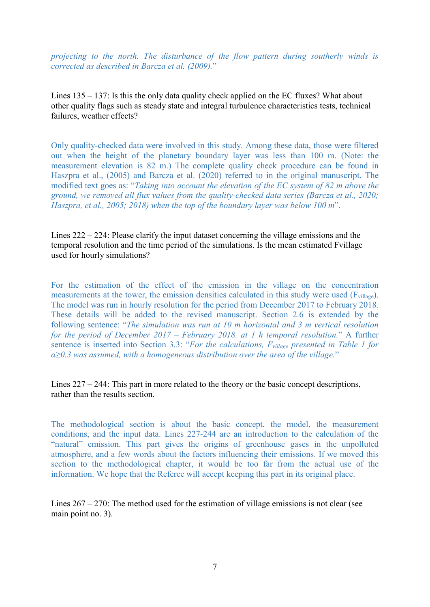projecting to the north. The disturbance of the flow pattern during southerly winds is corrected as described in Barcza et al. (2009)."

Lines 135 – 137: Is this the only data quality check applied on the EC fluxes? What about other quality flags such as steady state and integral turbulence characteristics tests, technical failures, weather effects?

Only quality-checked data were involved in this study. Among these data, those were filtered out when the height of the planetary boundary layer was less than 100 m. (Note: the measurement elevation is 82 m.) The complete quality check procedure can be found in Haszpra et al., (2005) and Barcza et al. (2020) referred to in the original manuscript. The modified text goes as: "Taking into account the elevation of the EC system of 82 m above the ground, we removed all flux values from the quality-checked data series (Barcza et al., 2020; Haszpra, et al., 2005; 2018) when the top of the boundary layer was below 100 m".

Lines 222 – 224: Please clarify the input dataset concerning the village emissions and the temporal resolution and the time period of the simulations. Is the mean estimated Fvillage used for hourly simulations?

For the estimation of the effect of the emission in the village on the concentration measurements at the tower, the emission densities calculated in this study were used (F<sub>village</sub>). The model was run in hourly resolution for the period from December 2017 to February 2018. These details will be added to the revised manuscript. Section 2.6 is extended by the following sentence: "The simulation was run at 10 m horizontal and 3 m vertical resolution for the period of December 2017 – February 2018. at 1 h temporal resolution." A further sentence is inserted into Section 3.3: "For the calculations, F<sub>village</sub> presented in Table 1 for  $\alpha \geq 0.3$  was assumed, with a homogeneous distribution over the area of the village."

Lines 227 – 244: This part in more related to the theory or the basic concept descriptions, rather than the results section.

The methodological section is about the basic concept, the model, the measurement conditions, and the input data. Lines 227-244 are an introduction to the calculation of the "natural" emission. This part gives the origins of greenhouse gases in the unpolluted atmosphere, and a few words about the factors influencing their emissions. If we moved this section to the methodological chapter, it would be too far from the actual use of the information. We hope that the Referee will accept keeping this part in its original place.

Lines  $267 - 270$ : The method used for the estimation of village emissions is not clear (see main point no. 3).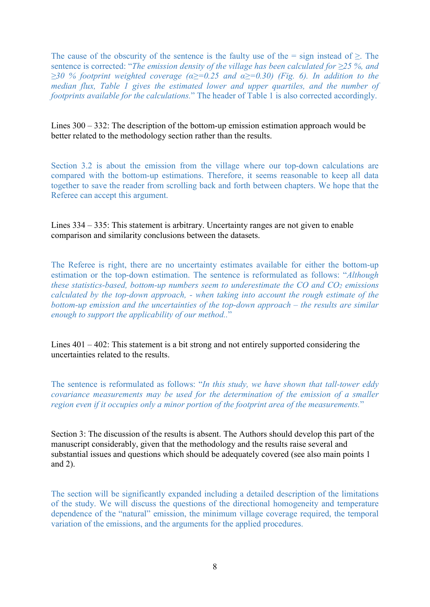The cause of the obscurity of the sentence is the faulty use of the = sign instead of  $\geq$ . The sentence is corrected: "The emission density of the village has been calculated for  $\geq$ 25 %, and  $\geq$ 30 % footprint weighted coverage ( $\alpha \geq$ =0.25 and  $\alpha \geq$ =0.30) (Fig. 6). In addition to the median flux, Table 1 gives the estimated lower and upper quartiles, and the number of footprints available for the calculations." The header of Table 1 is also corrected accordingly.

Lines 300 – 332: The description of the bottom-up emission estimation approach would be better related to the methodology section rather than the results.

Section 3.2 is about the emission from the village where our top-down calculations are compared with the bottom-up estimations. Therefore, it seems reasonable to keep all data together to save the reader from scrolling back and forth between chapters. We hope that the Referee can accept this argument.

Lines 334 – 335: This statement is arbitrary. Uncertainty ranges are not given to enable comparison and similarity conclusions between the datasets.

The Referee is right, there are no uncertainty estimates available for either the bottom-up estimation or the top-down estimation. The sentence is reformulated as follows: "Although these statistics-based, bottom-up numbers seem to underestimate the  $CO$  and  $CO<sub>2</sub>$  emissions calculated by the top-down approach, - when taking into account the rough estimate of the bottom-up emission and the uncertainties of the top-down approach – the results are similar enough to support the applicability of our method.."

Lines 401 – 402: This statement is a bit strong and not entirely supported considering the uncertainties related to the results.

The sentence is reformulated as follows: "In this study, we have shown that tall-tower eddy covariance measurements may be used for the determination of the emission of a smaller region even if it occupies only a minor portion of the footprint area of the measurements."

Section 3: The discussion of the results is absent. The Authors should develop this part of the manuscript considerably, given that the methodology and the results raise several and substantial issues and questions which should be adequately covered (see also main points 1 and 2).

The section will be significantly expanded including a detailed description of the limitations of the study. We will discuss the questions of the directional homogeneity and temperature dependence of the "natural" emission, the minimum village coverage required, the temporal variation of the emissions, and the arguments for the applied procedures.